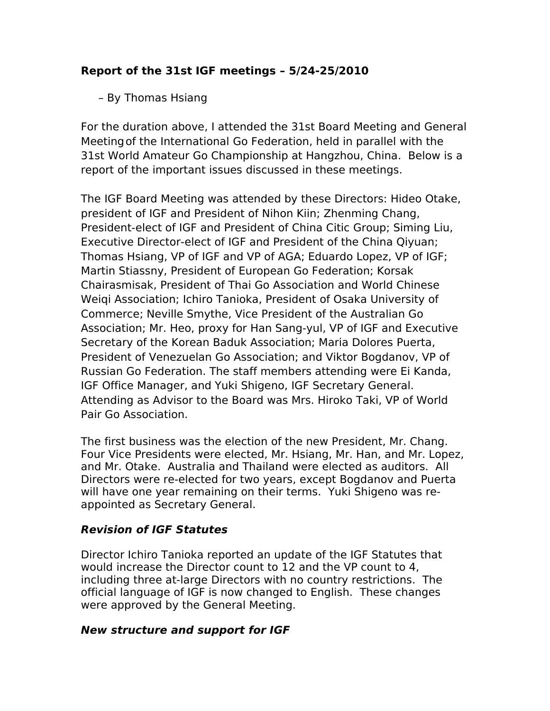# **Report of the 31st IGF meetings – 5/24-25/2010**

# – By Thomas Hsiang

For the duration above, I attended the 31st Board Meeting and General Meetingof the International Go Federation, held in parallel with the 31st World Amateur Go Championship at Hangzhou, China. Below is a report of the important issues discussed in these meetings.

The IGF Board Meeting was attended by these Directors: Hideo Otake, president of IGF and President of Nihon Kiin; Zhenming Chang, President-elect of IGF and President of China Citic Group; Siming Liu, Executive Director-elect of IGF and President of the China Qiyuan; Thomas Hsiang, VP of IGF and VP of AGA; Eduardo Lopez, VP of IGF; Martin Stiassny, President of European Go Federation; Korsak Chairasmisak, President of Thai Go Association and World Chinese Weiqi Association; Ichiro Tanioka, President of Osaka University of Commerce; Neville Smythe, Vice President of the Australian Go Association; Mr. Heo, proxy for Han Sang-yul, VP of IGF and Executive Secretary of the Korean Baduk Association; Maria Dolores Puerta, President of Venezuelan Go Association; and Viktor Bogdanov, VP of Russian Go Federation. The staff members attending were Ei Kanda, IGF Office Manager, and Yuki Shigeno, IGF Secretary General. Attending as Advisor to the Board was Mrs. Hiroko Taki, VP of World Pair Go Association.

The first business was the election of the new President, Mr. Chang. Four Vice Presidents were elected, Mr. Hsiang, Mr. Han, and Mr. Lopez, and Mr. Otake. Australia and Thailand were elected as auditors. All Directors were re-elected for two years, except Bogdanov and Puerta will have one year remaining on their terms. Yuki Shigeno was reappointed as Secretary General.

## **Revision of IGF Statutes**

Director Ichiro Tanioka reported an update of the IGF Statutes that would increase the Director count to 12 and the VP count to 4, including three at-large Directors with no country restrictions. The official language of IGF is now changed to English. These changes were approved by the General Meeting.

#### **New structure and support for IGF**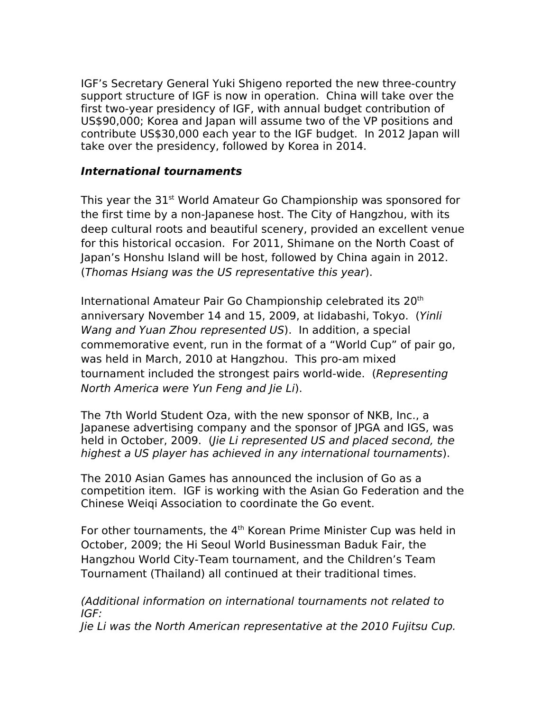IGF's Secretary General Yuki Shigeno reported the new three-country support structure of IGF is now in operation. China will take over the first two-year presidency of IGF, with annual budget contribution of US\$90,000; Korea and Japan will assume two of the VP positions and contribute US\$30,000 each year to the IGF budget. In 2012 Japan will take over the presidency, followed by Korea in 2014.

## **International tournaments**

This year the 31<sup>st</sup> World Amateur Go Championship was sponsored for the first time by a non-Japanese host. The City of Hangzhou, with its deep cultural roots and beautiful scenery, provided an excellent venue for this historical occasion. For 2011, Shimane on the North Coast of Japan's Honshu Island will be host, followed by China again in 2012. (Thomas Hsiang was the US representative this year).

International Amateur Pair Go Championship celebrated its 20<sup>th</sup> anniversary November 14 and 15, 2009, at Iidabashi, Tokyo. (Yinli Wang and Yuan Zhou represented US). In addition, a special commemorative event, run in the format of a "World Cup" of pair go, was held in March, 2010 at Hangzhou. This pro-am mixed tournament included the strongest pairs world-wide. (Representing North America were Yun Feng and Jie Li).

The 7th World Student Oza, with the new sponsor of NKB, Inc., a Japanese advertising company and the sponsor of JPGA and IGS, was held in October, 2009. (Jie Li represented US and placed second, the highest a US player has achieved in any international tournaments).

The 2010 Asian Games has announced the inclusion of Go as a competition item. IGF is working with the Asian Go Federation and the Chinese Weiqi Association to coordinate the Go event.

For other tournaments, the 4<sup>th</sup> Korean Prime Minister Cup was held in October, 2009; the Hi Seoul World Businessman Baduk Fair, the Hangzhou World City-Team tournament, and the Children's Team Tournament (Thailand) all continued at their traditional times.

(Additional information on international tournaments not related to IGF:

Jie Li was the North American representative at the 2010 Fujitsu Cup.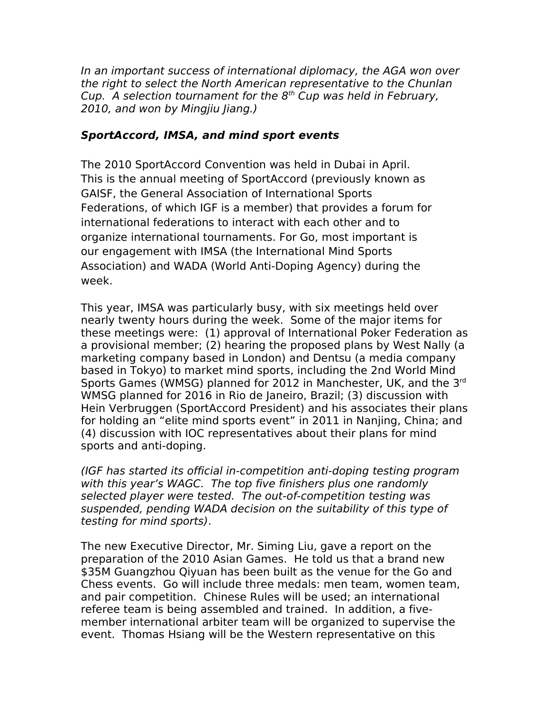In an important success of international diplomacy, the AGA won over the right to select the North American representative to the Chunlan Cup. A selection tournament for the  $8<sup>th</sup>$  Cup was held in February, 2010, and won by Mingjiu Jiang.)

# **SportAccord, IMSA, and mind sport events**

The 2010 SportAccord Convention was held in Dubai in April. This is the annual meeting of SportAccord (previously known as GAISF, the General Association of International Sports Federations, of which IGF is a member) that provides a forum for international federations to interact with each other and to organize international tournaments. For Go, most important is our engagement with IMSA (the International Mind Sports Association) and WADA (World Anti-Doping Agency) during the week.

This year, IMSA was particularly busy, with six meetings held over nearly twenty hours during the week. Some of the major items for these meetings were: (1) approval of International Poker Federation as a provisional member; (2) hearing the proposed plans by West Nally (a marketing company based in London) and Dentsu (a media company based in Tokyo) to market mind sports, including the 2nd World Mind Sports Games (WMSG) planned for 2012 in Manchester, UK, and the 3rd WMSG planned for 2016 in Rio de Janeiro, Brazil; (3) discussion with Hein Verbruggen (SportAccord President) and his associates their plans for holding an "elite mind sports event" in 2011 in Nanjing, China; and (4) discussion with IOC representatives about their plans for mind sports and anti-doping.

(IGF has started its official in-competition anti-doping testing program with this year's WAGC. The top five finishers plus one randomly selected player were tested. The out-of-competition testing was suspended, pending WADA decision on the suitability of this type of testing for mind sports).

The new Executive Director, Mr. Siming Liu, gave a report on the preparation of the 2010 Asian Games. He told us that a brand new \$35M Guangzhou Qiyuan has been built as the venue for the Go and Chess events. Go will include three medals: men team, women team, and pair competition. Chinese Rules will be used; an international referee team is being assembled and trained. In addition, a fivemember international arbiter team will be organized to supervise the event. Thomas Hsiang will be the Western representative on this